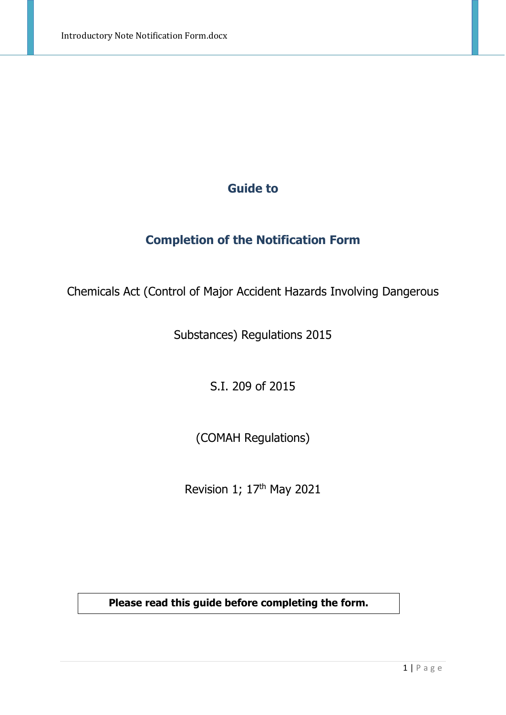### **Guide to**

### **Completion of the Notification Form**

Chemicals Act (Control of Major Accident Hazards Involving Dangerous

Substances) Regulations 2015

S.I. 209 of 2015

(COMAH Regulations)

Revision 1; 17<sup>th</sup> May 2021

**Please read this guide before completing the form.**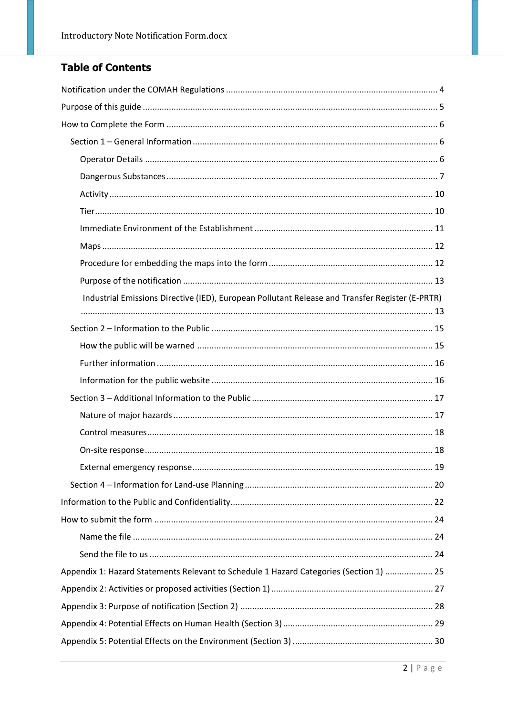### **Table of Contents**

| Industrial Emissions Directive (IED), European Pollutant Release and Transfer Register (E-PRTR) |
|-------------------------------------------------------------------------------------------------|
|                                                                                                 |
|                                                                                                 |
|                                                                                                 |
|                                                                                                 |
|                                                                                                 |
|                                                                                                 |
|                                                                                                 |
|                                                                                                 |
|                                                                                                 |
|                                                                                                 |
|                                                                                                 |
|                                                                                                 |
|                                                                                                 |
|                                                                                                 |
| Appendix 1: Hazard Statements Relevant to Schedule 1 Hazard Categories (Section 1)  25          |
|                                                                                                 |
|                                                                                                 |
|                                                                                                 |
|                                                                                                 |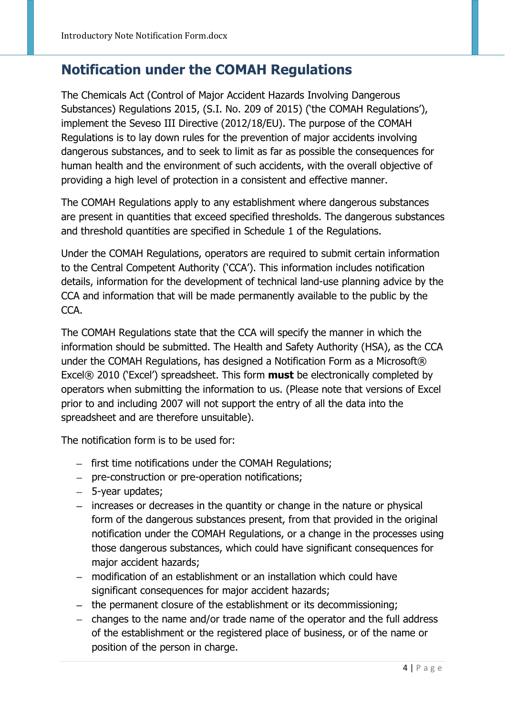## <span id="page-3-0"></span>**Notification under the COMAH Regulations**

The Chemicals Act (Control of Major Accident Hazards Involving Dangerous Substances) Regulations 2015, (S.I. No. 209 of 2015) ('the COMAH Regulations'), implement the Seveso III Directive (2012/18/EU). The purpose of the COMAH Regulations is to lay down rules for the prevention of major accidents involving dangerous substances, and to seek to limit as far as possible the consequences for human health and the environment of such accidents, with the overall objective of providing a high level of protection in a consistent and effective manner.

The COMAH Regulations apply to any establishment where dangerous substances are present in quantities that exceed specified thresholds. The dangerous substances and threshold quantities are specified in Schedule 1 of the Regulations.

Under the COMAH Regulations, operators are required to submit certain information to the Central Competent Authority ('CCA'). This information includes notification details, information for the development of technical land-use planning advice by the CCA and information that will be made permanently available to the public by the CCA.

The COMAH Regulations state that the CCA will specify the manner in which the information should be submitted. The Health and Safety Authority (HSA), as the CCA under the COMAH Regulations, has designed a Notification Form as a Microsoft® Excel® 2010 ('Excel') spreadsheet. This form **must** be electronically completed by operators when submitting the information to us. (Please note that versions of Excel prior to and including 2007 will not support the entry of all the data into the spreadsheet and are therefore unsuitable).

The notification form is to be used for:

- − first time notifications under the COMAH Regulations;
- − pre-construction or pre-operation notifications;
- − 5-year updates;
- − increases or decreases in the quantity or change in the nature or physical form of the dangerous substances present, from that provided in the original notification under the COMAH Regulations, or a change in the processes using those dangerous substances, which could have significant consequences for major accident hazards;
- − modification of an establishment or an installation which could have significant consequences for major accident hazards;
- − the permanent closure of the establishment or its decommissioning;
- − changes to the name and/or trade name of the operator and the full address of the establishment or the registered place of business, or of the name or position of the person in charge.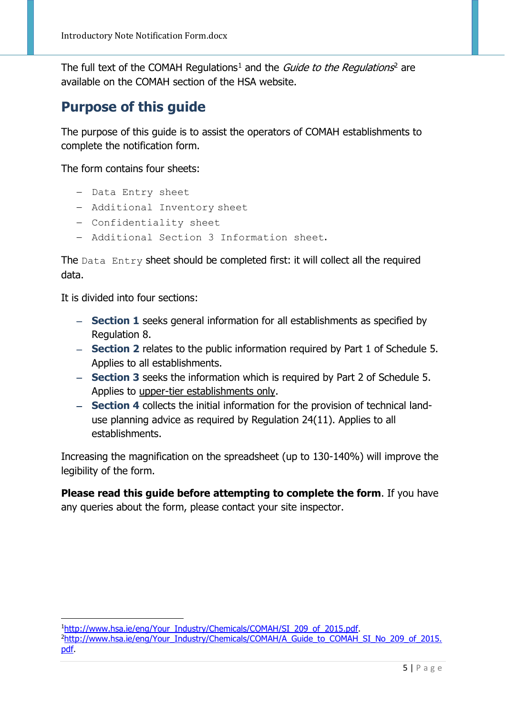The full text of the COMAH Regulations<sup>[1](#page-4-1)</sup> and the *Guide to the Regulations*<sup>[2](#page-4-2)</sup> are available on the COMAH section of the HSA website.

## <span id="page-4-0"></span>**Purpose of this guide**

The purpose of this guide is to assist the operators of COMAH establishments to complete the notification form.

The form contains four sheets:

- − Data Entry sheet
- − Additional Inventory sheet
- − Confidentiality sheet
- − Additional Section 3 Information sheet.

The Data Entry sheet should be completed first: it will collect all the required data.

It is divided into four sections:

.

- − **Section 1** seeks general information for all establishments as specified by Regulation 8.
- − **Section 2** relates to the public information required by Part 1 of Schedule 5. Applies to all establishments.
- − **Section 3** seeks the information which is required by Part 2 of Schedule 5. Applies to upper-tier establishments only.
- − **Section 4** collects the initial information for the provision of technical landuse planning advice as required by Regulation 24(11). Applies to all establishments.

Increasing the magnification on the spreadsheet (up to 130-140%) will improve the legibility of the form.

**Please read this guide before attempting to complete the form**. If you have any queries about the form, please contact your site inspector.

<span id="page-4-2"></span><span id="page-4-1"></span><sup>&</sup>lt;sup>1</sup>http://www.hsa.ie/eng/Your\_Industry/Chemicals/COMAH/SI\_209\_of\_2015.pdf. <sup>2</sup>http://www.hsa.ie/eng/Your\_Industry/Chemicals/COMAH/A\_Guide\_to\_COMAH\_SI\_No\_209\_of\_2015. [pdf.](http://www.hsa.ie/eng/Your_Industry/Chemicals/COMAH/A_Guide_to_COMAH_SI_No_209_of_2015.pdf)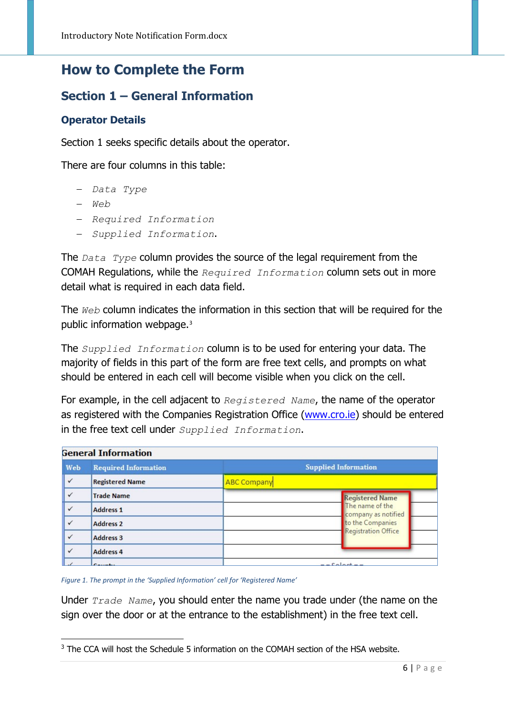## <span id="page-5-0"></span>**How to Complete the Form**

### <span id="page-5-1"></span>**Section 1 – General Information**

#### <span id="page-5-2"></span>**Operator Details**

Section 1 seeks specific details about the operator.

There are four columns in this table:

- − *Data Type*
- − *Web*

.

- − *Required Information*
- − *Supplied Information*.

The *Data Type* column provides the source of the legal requirement from the COMAH Regulations, while the *Required Information* column sets out in more detail what is required in each data field.

The *Web* column indicates the information in this section that will be required for the public information webpage.[3](#page-5-3)

The *Supplied Information* column is to be used for entering your data. The majority of fields in this part of the form are free text cells, and prompts on what should be entered in each cell will become visible when you click on the cell.

For example, in the cell adjacent to *Registered Name*, the name of the operator as registered with the Companies Registration Office [\(www.cro.ie\)](http://www.cro.ie/) should be entered in the free text cell under *Supplied Information*.

| <b>General Information</b>                                        |                        |                                        |  |  |
|-------------------------------------------------------------------|------------------------|----------------------------------------|--|--|
| <b>Supplied Information</b><br><b>Required Information</b><br>Web |                        |                                        |  |  |
| $\checkmark$                                                      | <b>Registered Name</b> | <b>ABC Company</b>                     |  |  |
| $\checkmark$                                                      | <b>Trade Name</b>      | <b>Registered Name</b>                 |  |  |
| $\checkmark$                                                      | <b>Address 1</b>       | The name of the<br>company as notified |  |  |
| $\checkmark$                                                      | <b>Address 2</b>       | to the Companies                       |  |  |
| $\checkmark$                                                      | <b>Address 3</b>       | Registration Office                    |  |  |
| $\checkmark$                                                      | <b>Address 4</b>       |                                        |  |  |
|                                                                   | Conception             | . Calculate                            |  |  |

*Figure 1. The prompt in the 'Supplied Information' cell for 'Registered Name'*

Under *Trade Name*, you should enter the name you trade under (the name on the sign over the door or at the entrance to the establishment) in the free text cell.

<span id="page-5-3"></span><sup>&</sup>lt;sup>3</sup> The CCA will host the Schedule 5 information on the COMAH section of the HSA website.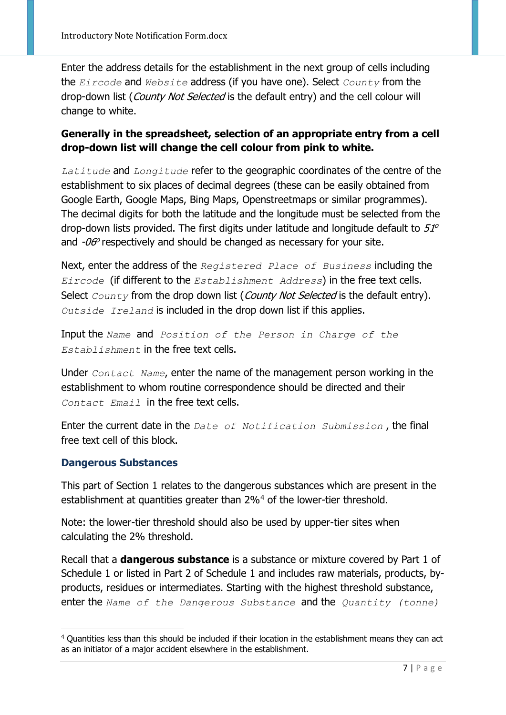Enter the address details for the establishment in the next group of cells including the *Eircode* and *Website* address (if you have one). Select *County* from the drop-down list (County Not Selected is the default entry) and the cell colour will change to white.

#### **Generally in the spreadsheet, selection of an appropriate entry from a cell drop-down list will change the cell colour from pink to white.**

*Latitude* and *Longitude* refer to the geographic coordinates of the centre of the establishment to six places of decimal degrees (these can be easily obtained from Google Earth, Google Maps, Bing Maps, Openstreetmaps or similar programmes). The decimal digits for both the latitude and the longitude must be selected from the drop-down lists provided. The first digits under latitude and longitude default to  $51^{\circ}$ and  $-\theta\theta^{\circ}$  respectively and should be changed as necessary for your site.

Next, enter the address of the *Registered Place of Business* including the *Eircode* (if different to the *Establishment Address*) in the free text cells. Select *County* from the drop down list (*County Not Selected* is the default entry). *Outside Ireland* is included in the drop down list if this applies.

Input the *Name* and *Position of the Person in Charge of the Establishment* in the free text cells.

Under *Contact Name*, enter the name of the management person working in the establishment to whom routine correspondence should be directed and their *Contact Email* in the free text cells.

Enter the current date in the *Date of Notification Submission* , the final free text cell of this block.

#### <span id="page-6-0"></span>**Dangerous Substances**

.

This part of Section 1 relates to the dangerous substances which are present in the establishment at quantities greater than 2%<sup>[4](#page-6-1)</sup> of the lower-tier threshold.

Note: the lower-tier threshold should also be used by upper-tier sites when calculating the 2% threshold.

Recall that a **dangerous substance** is a substance or mixture covered by Part 1 of Schedule 1 or listed in Part 2 of Schedule 1 and includes raw materials, products, byproducts, residues or intermediates. Starting with the highest threshold substance, enter the *Name of the Dangerous Substance* and the *Quantity (tonne)*

<span id="page-6-1"></span><sup>4</sup> Quantities less than this should be included if their location in the establishment means they can act as an initiator of a major accident elsewhere in the establishment.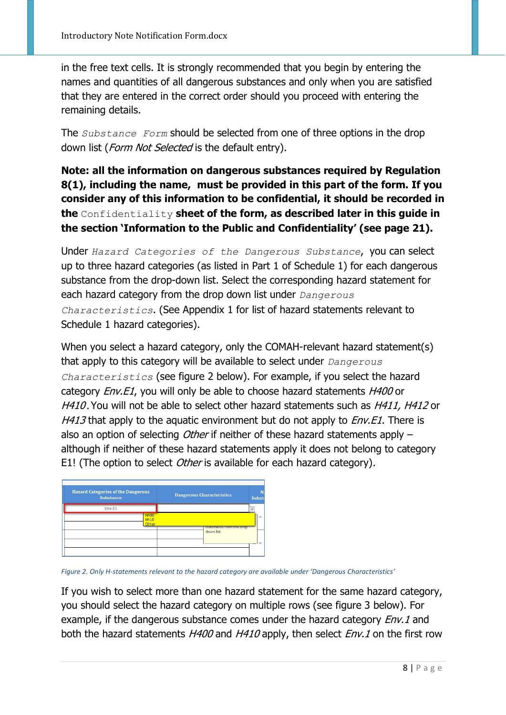in the free text cells. It is strongly recommended that you begin by entering the names and quantities of all dangerous substances and only when you are satisfied that they are entered in the correct order should you proceed with entering the remaining details.

The *Substance Form* should be selected from one of three options in the drop down list (Form Not Selected is the default entry).

**Note: all the information on dangerous substances required by Regulation 8(1), including the name, must be provided in this part of the form. If you consider any of this information to be confidential, it should be recorded in the** Confidentiality **sheet of the form, as described later in this guide in the section 'Information to the Public and Confidentiality' (see page 21).** 

Under *Hazard Categories of the Dangerous Substance*, you can select up to three hazard categories (as listed in Part 1 of Schedule 1) for each dangerous substance from the drop-down list. Select the corresponding hazard statement for each hazard category from the drop down list under *Dangerous Characteristics*. (See Appendix 1 for list of hazard statements relevant to Schedule 1 hazard categories).

When you select a hazard category, only the COMAH-relevant hazard statement(s) that apply to this category will be available to select under *Dangerous Characteristics* (see figure 2 below). For example, if you select the hazard category *Env.E1*, you will only be able to choose hazard statements *H400* or H410. You will not be able to select other hazard statements such as H411, H412 or  $H413$  that apply to the aquatic environment but do not apply to  $Env.E1$ . There is also an option of selecting *Other* if neither of these hazard statements apply  $$ although if neither of these hazard statements apply it does not belong to category E1! (The option to select Other is available for each hazard category).



*Figure 2. Only H-statements relevant to the hazard category are available under 'Dangerous Characteristics'*

If you wish to select more than one hazard statement for the same hazard category, you should select the hazard category on multiple rows (see figure 3 below). For example, if the dangerous substance comes under the hazard category *Env.1* and both the hazard statements H400 and H410 apply, then select Env.1 on the first row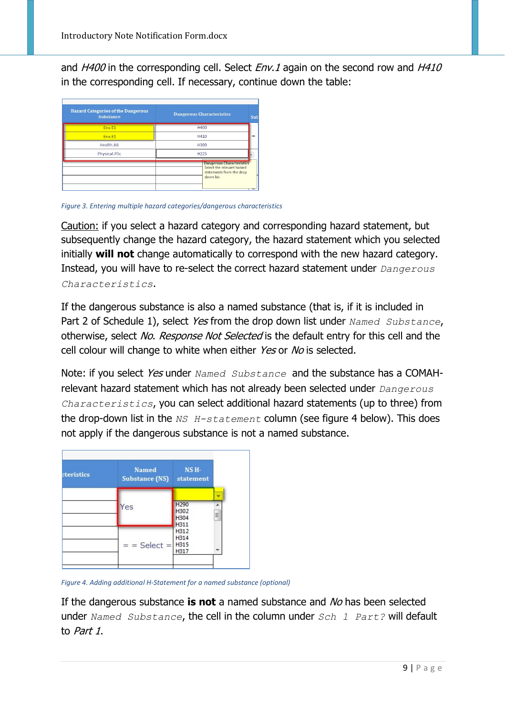and  $H400$  in the corresponding cell. Select  $Env.1$  again on the second row and  $H410$ in the corresponding cell. If necessary, continue down the table:

| <b>Hazard Categories of the Dangerous</b><br><b>Substance</b> | <b>Dangerous Characteristics</b>                                                                         | Sub |
|---------------------------------------------------------------|----------------------------------------------------------------------------------------------------------|-----|
| Env.E1                                                        | <b>H400</b>                                                                                              |     |
| Env.F1                                                        | H410                                                                                                     |     |
| Health.H1                                                     | <b>H300</b>                                                                                              |     |
| Physical.P5c                                                  | H <sub>225</sub>                                                                                         |     |
|                                                               | <b>Dangerous Characteristics</b><br>Select the relevant hazard<br>statements from the drop<br>down list. |     |

*Figure 3. Entering multiple hazard categories/dangerous characteristics*

Caution: if you select a hazard category and corresponding hazard statement, but subsequently change the hazard category, the hazard statement which you selected initially **will not** change automatically to correspond with the new hazard category. Instead, you will have to re-select the correct hazard statement under *Dangerous Characteristics*.

If the dangerous substance is also a named substance (that is, if it is included in Part 2 of Schedule 1), select Yes from the drop down list under *Named Substance*, otherwise, select No. Response Not Selected is the default entry for this cell and the cell colour will change to white when either Yes or No is selected.

Note: if you select Yes under *Named Substance* and the substance has a COMAHrelevant hazard statement which has not already been selected under *Dangerous Characteristics*, you can select additional hazard statements (up to three) from the drop-down list in the *NS H-statement* column (see figure 4 below). This does not apply if the dangerous substance is not a named substance.



*Figure 4. Adding additional H-Statement for a named substance (optional)*

If the dangerous substance **is not** a named substance and No has been selected under *Named Substance*, the cell in the column under *Sch 1 Part?* will default to Part 1.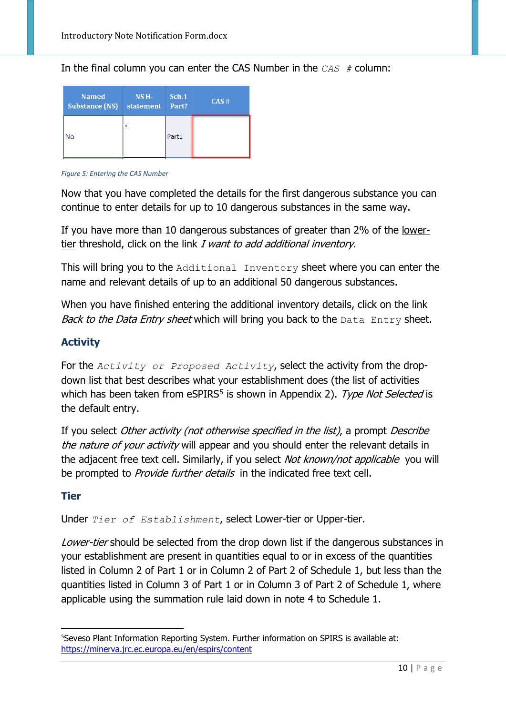In the final column you can enter the CAS Number in the *CAS #* column:

| <b>Named</b>          | NS <sub>H</sub> - | Sch.1 | CAS# |
|-----------------------|-------------------|-------|------|
| <b>Substance (NS)</b> | statement         | Part? |      |
| J٥                    | ÷                 | Part1 |      |

*Figure 5: Entering the CAS Number*

Now that you have completed the details for the first dangerous substance you can continue to enter details for up to 10 dangerous substances in the same way.

If you have more than 10 dangerous substances of greater than 2% of the lowertier threshold, click on the link I want to add additional inventory.

This will bring you to the Additional Inventory sheet where you can enter the name and relevant details of up to an additional 50 dangerous substances.

When you have finished entering the additional inventory details, click on the link Back to the Data Entry sheet which will bring you back to the Data Entry sheet.

#### <span id="page-9-0"></span>**Activity**

For the *Activity or Proposed Activity*, select the activity from the dropdown list that best describes what your establishment does (the list of activities which has been taken from  $eSPIRS<sup>5</sup>$  $eSPIRS<sup>5</sup>$  $eSPIRS<sup>5</sup>$  is shown in Appendix 2). Type Not Selected is the default entry.

If you select *Other activity (not otherwise specified in the list)*, a prompt *Describe* the nature of your activity will appear and you should enter the relevant details in the adjacent free text cell. Similarly, if you select Not known/not applicable you will be prompted to *Provide further details* in the indicated free text cell.

#### <span id="page-9-1"></span>**Tier**

Under *Tier of Establishment*, select Lower-tier or Upper-tier.

Lower-tier should be selected from the drop down list if the dangerous substances in your establishment are present in quantities equal to or in excess of the quantities listed in Column 2 of Part 1 or in Column 2 of Part 2 of Schedule 1, but less than the quantities listed in Column 3 of Part 1 or in Column 3 of Part 2 of Schedule 1, where applicable using the summation rule laid down in note 4 to Schedule 1.

<span id="page-9-2"></span><sup>-&</sup>lt;br>5 <sup>5</sup> Seveso Plant Information Reporting System. Further information on SPIRS is available at: <https://minerva.jrc.ec.europa.eu/en/espirs/content>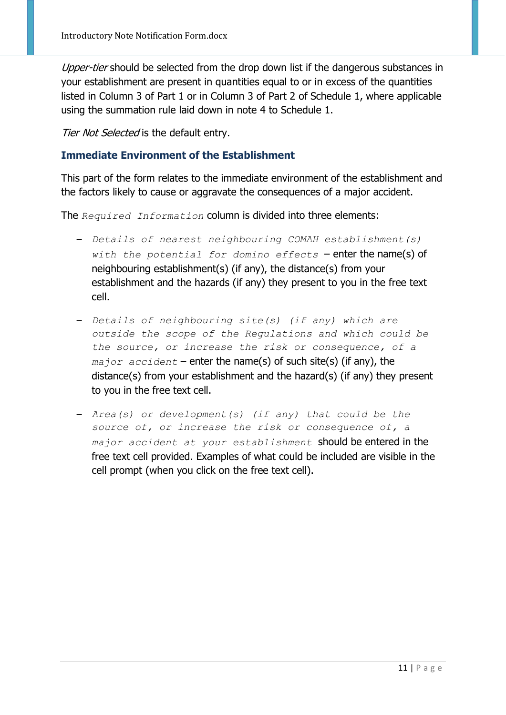Upper-tier should be selected from the drop down list if the dangerous substances in your establishment are present in quantities equal to or in excess of the quantities listed in Column 3 of Part 1 or in Column 3 of Part 2 of Schedule 1, where applicable using the summation rule laid down in note 4 to Schedule 1.

Tier Not Selected is the default entry.

#### <span id="page-10-0"></span>**Immediate Environment of the Establishment**

This part of the form relates to the immediate environment of the establishment and the factors likely to cause or aggravate the consequences of a major accident.

The *Required Information* column is divided into three elements:

- − *Details of nearest neighbouring COMAH establishment(s) with the potential for domino effects* – enter the name(s) of neighbouring establishment(s) (if any), the distance(s) from your establishment and the hazards (if any) they present to you in the free text cell.
- − *Details of neighbouring site(s) (if any) which are outside the scope of the Regulations and which could be the source, or increase the risk or consequence, of a major accident* – enter the name(s) of such site(s) (if any), the distance(s) from your establishment and the hazard(s) (if any) they present to you in the free text cell.
- − *Area(s) or development(s) (if any) that could be the source of, or increase the risk or consequence of, a major accident at your establishment* should be entered in the free text cell provided. Examples of what could be included are visible in the cell prompt (when you click on the free text cell).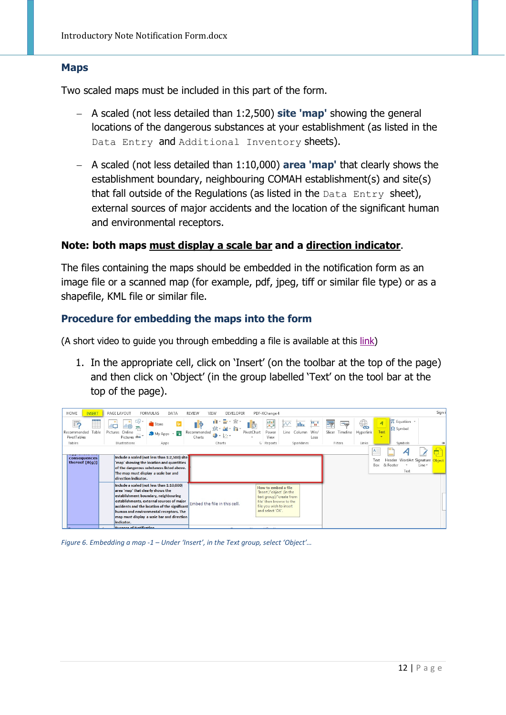#### <span id="page-11-0"></span>**Maps**

Two scaled maps must be included in this part of the form.

- − A scaled (not less detailed than 1:2,500) **site 'map'** showing the general locations of the dangerous substances at your establishment (as listed in the Data Entry and Additional Inventory sheets).
- − A scaled (not less detailed than 1:10,000) **area 'map'** that clearly shows the establishment boundary, neighbouring COMAH establishment(s) and site(s) that fall outside of the Regulations (as listed in the  $Data$   $Entropy$  sheet), external sources of major accidents and the location of the significant human and environmental receptors.

#### **Note: both maps must display a scale bar and a direction indicator**.

The files containing the maps should be embedded in the notification form as an image file or a scanned map (for example, pdf, jpeg, tiff or similar file type) or as a shapefile, KML file or similar file.

#### <span id="page-11-1"></span>**Procedure for embedding the maps into the form**

(A short video to guide you through embedding a file is available at this [link\)](https://www.hsa.ie/!2D9NO7)

1. In the appropriate cell, click on 'Insert' (on the toolbar at the top of the page) and then click on 'Object' (in the group labelled 'Text' on the tool bar at the top of the page).



#### *Figure 6. Embedding a map -1 – Under 'Insert', in the Text group, select 'Object'…*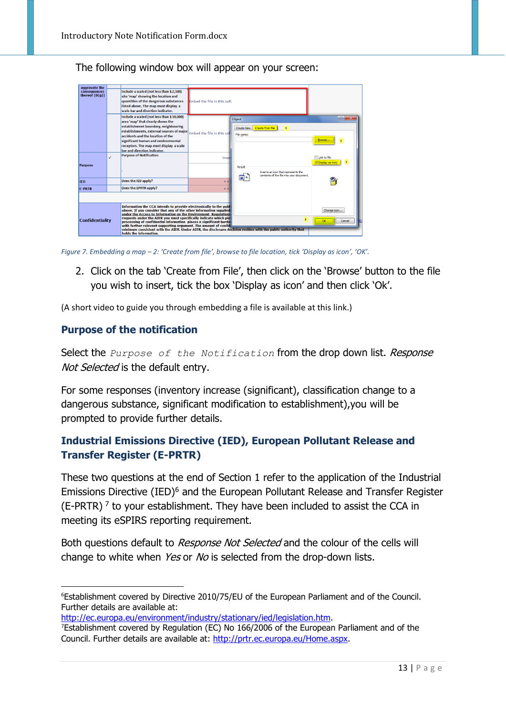The following window box will appear on your screen:



*Figure 7. Embedding a map – 2: 'Create from file', browse to file location, tick 'Display as icon', 'OK'.*

2. Click on the tab 'Create from File', then click on the 'Browse' button to the file you wish to insert, tick the box 'Display as icon' and then click 'Ok'.

(A short video to guide you through embedding a file is available at this link.)

#### <span id="page-12-0"></span>**Purpose of the notification**

Select the *Purpose of the Notification* from the drop down list. *Response* Not Selected is the default entry.

For some responses (inventory increase (significant), classification change to a dangerous substance, significant modification to establishment),you will be prompted to provide further details.

#### <span id="page-12-1"></span>**Industrial Emissions Directive (IED), European Pollutant Release and Transfer Register (E-PRTR)**

These two questions at the end of Section 1 refer to the application of the Industrial Emissions Directive (IED[\)6](#page-12-2) and the European Pollutant Release and Transfer Register (E-PRTR)<sup> $7$ </sup> to your establishment. They have been included to assist the CCA in meeting its eSPIRS reporting requirement.

Both questions default to Response Not Selected and the colour of the cells will change to white when Yes or No is selected from the drop-down lists.

```
http://ec.europa.eu/environment/industry/stationary/ied/legislation.htm.
```
<span id="page-12-2"></span><sup>-&</sup>lt;br>6 Establishment covered by Directive 2010/75/EU of the European Parliament and of the Council. Further details are available at:

<span id="page-12-3"></span><sup>7</sup> Establishment covered by Regulation (EC) No 166/2006 of the European Parliament and of the Council. Further details are available at: [http://prtr.ec.europa.eu/Home.aspx.](http://prtr.ec.europa.eu/Home.aspx)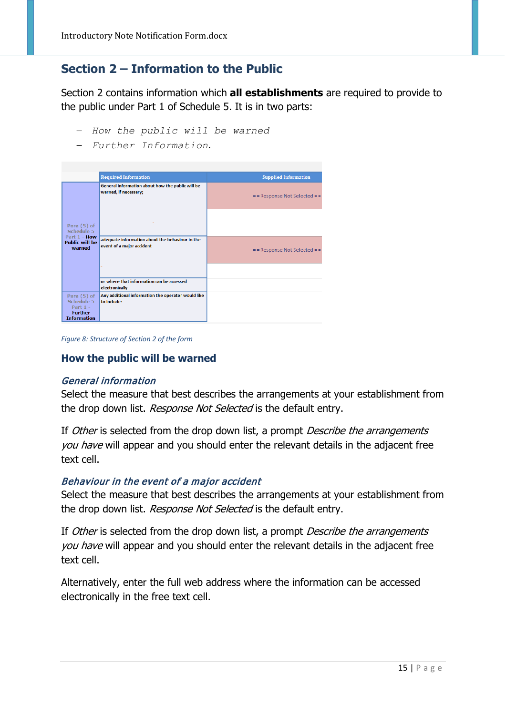### <span id="page-14-0"></span>**Section 2 – Information to the Public**

Section 2 contains information which **all establishments** are required to provide to the public under Part 1 of Schedule 5. It is in two parts:

- − *How the public will be warned*
- − *Further Information*.

|                                                           | <b>Required Information</b>                                                  | <b>Supplied Information</b>     |
|-----------------------------------------------------------|------------------------------------------------------------------------------|---------------------------------|
|                                                           | General information about how the public will be<br>warned, if necessary;    | $=$ = Response Not Selected = = |
| Para (5) of<br>Schedule 5                                 |                                                                              |                                 |
| Part 1 - How<br><b>Public will be</b><br>warned           | adequate information about the behaviour in the<br>event of a major accident | $=$ = Response Not Selected = = |
|                                                           |                                                                              |                                 |
|                                                           | or where that information can be accessed<br>electronically                  |                                 |
| Para (5) of<br>Schedule 5<br>Part $1 -$<br><b>Further</b> | Any additional information the operator would like<br>to include:            |                                 |
| <b>Information</b>                                        |                                                                              |                                 |

*Figure 8: Structure of Section 2 of the form*

#### <span id="page-14-1"></span>**How the public will be warned**

#### General information

Select the measure that best describes the arrangements at your establishment from the drop down list. Response Not Selected is the default entry.

If Other is selected from the drop down list, a prompt Describe the arrangements you have will appear and you should enter the relevant details in the adjacent free text cell.

#### Behaviour in the event of a major accident

Select the measure that best describes the arrangements at your establishment from the drop down list. Response Not Selected is the default entry.

If Other is selected from the drop down list, a prompt Describe the arrangements you have will appear and you should enter the relevant details in the adjacent free text cell.

Alternatively, enter the full web address where the information can be accessed electronically in the free text cell.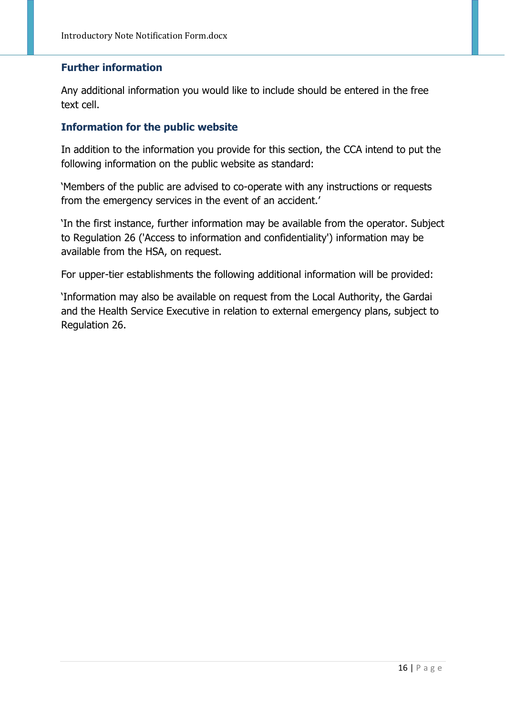#### <span id="page-15-0"></span>**Further information**

Any additional information you would like to include should be entered in the free text cell.

#### <span id="page-15-1"></span>**Information for the public website**

In addition to the information you provide for this section, the CCA intend to put the following information on the public website as standard:

'Members of the public are advised to co-operate with any instructions or requests from the emergency services in the event of an accident.'

'In the first instance, further information may be available from the operator. Subject to Regulation 26 ('Access to information and confidentiality') information may be available from the HSA, on request.

For upper-tier establishments the following additional information will be provided:

'Information may also be available on request from the Local Authority, the Gardai and the Health Service Executive in relation to external emergency plans, subject to Regulation 26.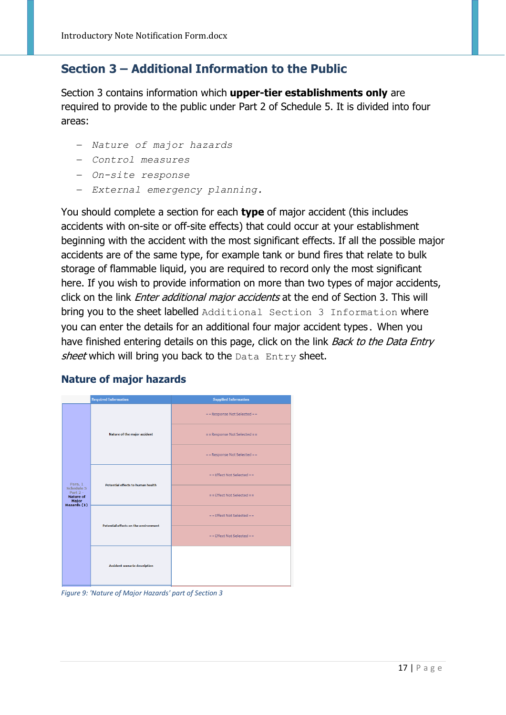### <span id="page-16-0"></span>**Section 3 – Additional Information to the Public**

Section 3 contains information which **upper-tier establishments only** are required to provide to the public under Part 2 of Schedule 5. It is divided into four areas:

- − *Nature of major hazards*
- − *Control measures*
- − *On-site response*
- − *External emergency planning.*

You should complete a section for each **type** of major accident (this includes accidents with on-site or off-site effects) that could occur at your establishment beginning with the accident with the most significant effects. If all the possible major accidents are of the same type, for example tank or bund fires that relate to bulk storage of flammable liquid, you are required to record only the most significant here. If you wish to provide information on more than two types of major accidents, click on the link *Enter additional major accidents* at the end of Section 3. This will bring you to the sheet labelled Additional Section 3 Information where you can enter the details for an additional four major accident types. When you have finished entering details on this page, click on the link *Back to the Data Entry* sheet which will bring you back to the Data Entry sheet.

|                                                                      | <b>Required Information</b>                                                      | <b>Supplied Information</b>   |
|----------------------------------------------------------------------|----------------------------------------------------------------------------------|-------------------------------|
|                                                                      | Nature of the major accident                                                     | == Response Not Selected ==   |
|                                                                      |                                                                                  | == Response Not Selected ==   |
|                                                                      |                                                                                  | == Response Not Selected ==   |
| Para. 1                                                              | Potential effects to human health<br><b>Potential effects on the environment</b> | $=$ = Effect Not Selected = = |
| Schedule 5<br>Part $2 -$<br><b>Nature of</b><br>Major<br>Hazards (1) |                                                                                  | $=$ = Effect Not Selected = = |
|                                                                      |                                                                                  | $=$ = Effect Not Selected = = |
|                                                                      |                                                                                  | $=$ = Effect Not Selected = = |
|                                                                      | <b>Accident scenario description</b>                                             |                               |

#### <span id="page-16-1"></span>**Nature of major hazards**

*Figure 9: 'Nature of Major Hazards' part of Section 3*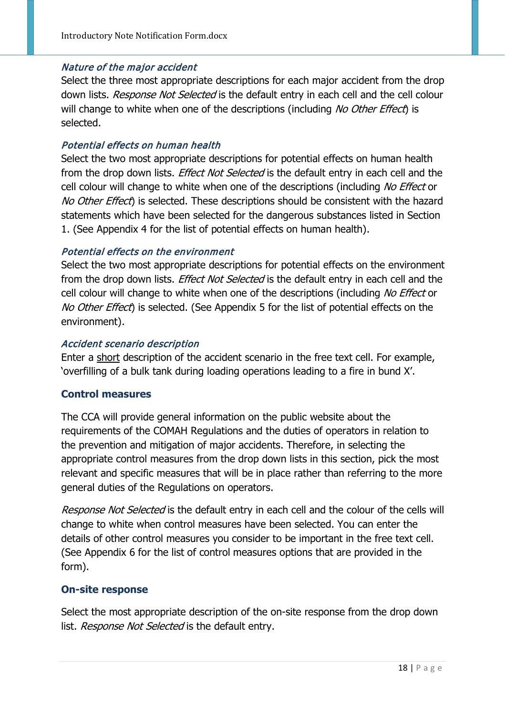#### Nature of the major accident

Select the three most appropriate descriptions for each major accident from the drop down lists. Response Not Selected is the default entry in each cell and the cell colour will change to white when one of the descriptions (including No Other Effect) is selected.

#### Potential effects on human health

Select the two most appropriate descriptions for potential effects on human health from the drop down lists. *Effect Not Selected* is the default entry in each cell and the cell colour will change to white when one of the descriptions (including No Effect or No Other Effect) is selected. These descriptions should be consistent with the hazard statements which have been selected for the dangerous substances listed in Section 1. (See Appendix 4 for the list of potential effects on human health).

#### Potential effects on the environment

Select the two most appropriate descriptions for potential effects on the environment from the drop down lists. Effect Not Selected is the default entry in each cell and the cell colour will change to white when one of the descriptions (including No Effect or No Other Effect) is selected. (See Appendix 5 for the list of potential effects on the environment).

#### Accident scenario description

Enter a short description of the accident scenario in the free text cell. For example, 'overfilling of a bulk tank during loading operations leading to a fire in bund X'.

#### <span id="page-17-0"></span>**Control measures**

The CCA will provide general information on the public website about the requirements of the COMAH Regulations and the duties of operators in relation to the prevention and mitigation of major accidents. Therefore, in selecting the appropriate control measures from the drop down lists in this section, pick the most relevant and specific measures that will be in place rather than referring to the more general duties of the Regulations on operators.

Response Not Selected is the default entry in each cell and the colour of the cells will change to white when control measures have been selected. You can enter the details of other control measures you consider to be important in the free text cell. (See Appendix 6 for the list of control measures options that are provided in the form).

#### <span id="page-17-1"></span>**On-site response**

Select the most appropriate description of the on-site response from the drop down list. Response Not Selected is the default entry.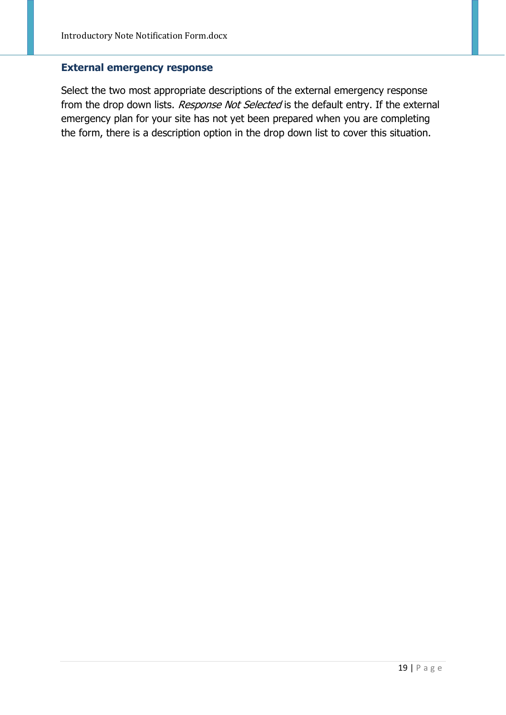#### <span id="page-18-0"></span>**External emergency response**

Select the two most appropriate descriptions of the external emergency response from the drop down lists. Response Not Selected is the default entry. If the external emergency plan for your site has not yet been prepared when you are completing the form, there is a description option in the drop down list to cover this situation.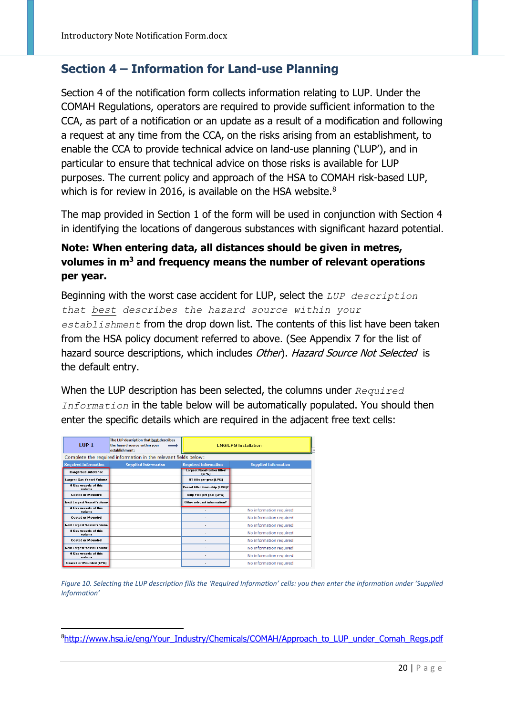### <span id="page-19-0"></span>**Section 4 – Information for Land-use Planning**

Section 4 of the notification form collects information relating to LUP. Under the COMAH Regulations, operators are required to provide sufficient information to the CCA, as part of a notification or an update as a result of a modification and following a request at any time from the CCA, on the risks arising from an establishment, to enable the CCA to provide technical advice on land-use planning ('LUP'), and in particular to ensure that technical advice on those risks is available for LUP purposes. The current policy and approach of the HSA to COMAH risk-based LUP, which is for review in 2016, is available on the HSA website.<sup>[8](#page-19-1)</sup>

The map provided in Section 1 of the form will be used in conjunction with Section 4 in identifying the locations of dangerous substances with significant hazard potential.

### **Note: When entering data, all distances should be given in metres, volumes in m3 and frequency means the number of relevant operations per year.**

Beginning with the worst case accident for LUP, select the *LUP description that best describes the hazard source within your establishment* from the drop down list. The contents of this list have been taken from the HSA policy document referred to above. (See Appendix 7 for the list of hazard source descriptions, which includes Other). Hazard Source Not Selected is the default entry.

When the LUP description has been selected, the columns under *Required Information* in the table below will be automatically populated. You should then enter the specific details which are required in the adjacent free text cells:

| 1UP <sub>1</sub>                       | The LUP description that best describes<br>the hazard source within your<br>establishment: | <b>LNG/LPG Installation</b>                |                             |  |
|----------------------------------------|--------------------------------------------------------------------------------------------|--------------------------------------------|-----------------------------|--|
|                                        | Complete the required information in the relevant fields below:                            |                                            |                             |  |
| <b>Required Information</b>            | <b>Supplied Information</b>                                                                | <b>Required Information</b>                | <b>Supplied Information</b> |  |
| <b>Dangerous substance</b>             |                                                                                            | <b>Largest Road tanker filled</b><br>(LPG) |                             |  |
| Largest Gas Vessel Volume              |                                                                                            | RT fills per year (LPG)                    |                             |  |
| <b>6 Gas vessels of this</b><br>volume |                                                                                            | <b>Vessel filled from ship (LPG)?</b>      |                             |  |
| <b>Coated or Mounded</b>               |                                                                                            | Ship Fills per year (LPG)                  |                             |  |
| <b>Next Largest Vessel Volume</b>      |                                                                                            | Other relevant information?                |                             |  |
| <b>Cas vessels of this</b><br>volume   |                                                                                            |                                            | No information required     |  |
| <b>Coated or Mounded</b>               |                                                                                            |                                            | No information required     |  |
| <b>Next Largest Vessel Volume</b>      |                                                                                            | No information required                    |                             |  |
| <b>Cas vessels of this</b><br>volume   |                                                                                            | No information required                    |                             |  |
| <b>Coated or Mounded</b>               |                                                                                            | No information required                    |                             |  |
| <b>Next Largest Vessel Volume</b>      |                                                                                            |                                            | No information required     |  |
| <b># Gas vessels of this</b><br>volume |                                                                                            |                                            | No information required     |  |
| <b>Coated or Mounded (LPG)</b>         |                                                                                            |                                            | No information required     |  |

.

*Figure 10. Selecting the LUP description fills the 'Required Information' cells: you then enter the information under 'Supplied Information'*

<span id="page-19-1"></span>[<sup>8</sup>http://www.hsa.ie/eng/Your\\_Industry/Chemicals/COMAH/Approach\\_to\\_LUP\\_under\\_Comah\\_Regs.pdf](http://www.hsa.ie/eng/Your_Industry/Chemicals/COMAH/Approach_to_LUP_under_Comah_Regs.pdf)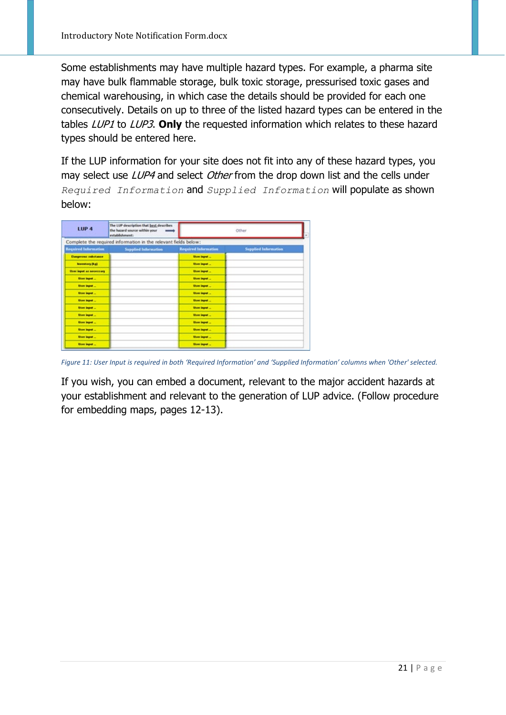Some establishments may have multiple hazard types. For example, a pharma site may have bulk flammable storage, bulk toxic storage, pressurised toxic gases and chemical warehousing, in which case the details should be provided for each one consecutively. Details on up to three of the listed hazard types can be entered in the tables LUP1 to LUP3. **Only** the requested information which relates to these hazard types should be entered here.

If the LUP information for your site does not fit into any of these hazard types, you may select use LUP4 and select Other from the drop down list and the cells under *Required Information* and *Supplied Information* will populate as shown below:

| LUP <sub>4</sub>            | The LUP description that best describes<br>the hazard source within your<br>establishment: | Other                       |                             |
|-----------------------------|--------------------------------------------------------------------------------------------|-----------------------------|-----------------------------|
|                             | Complete the required information in the relevant fields below:                            |                             |                             |
| <b>Required Information</b> | <b>Supplied Information</b>                                                                | <b>Required Information</b> | <b>Supplied Information</b> |
| <b>Dangerous substance</b>  |                                                                                            | <b>User Input </b>          |                             |
| Internators (R.g.)          |                                                                                            | <b>User input </b>          |                             |
| User input as necessary     |                                                                                            | User input                  |                             |
| Uner leget                  |                                                                                            | <b>User lepst</b>           |                             |
| User legal                  |                                                                                            | <b>Dave Imput </b>          |                             |
| User lepot                  |                                                                                            | <b>Does input </b>          |                             |
| <b>User input</b>           |                                                                                            | <b>User input</b>           |                             |
| User legal                  |                                                                                            | <b>User lepst </b>          |                             |
| User leget                  |                                                                                            | <b>User least </b>          |                             |
| User input                  |                                                                                            | <b>Uses input</b>           |                             |
| Union import                |                                                                                            | <b>User input </b>          |                             |
| ther input                  |                                                                                            | <b>User input </b>          |                             |
| <b>User legal</b>           |                                                                                            | <b>Does input </b>          |                             |

*Figure 11: User Input is required in both 'Required Information' and 'Supplied Information' columns when 'Other' selected.*

If you wish, you can embed a document, relevant to the major accident hazards at your establishment and relevant to the generation of LUP advice. (Follow procedure for embedding maps, pages 12-13).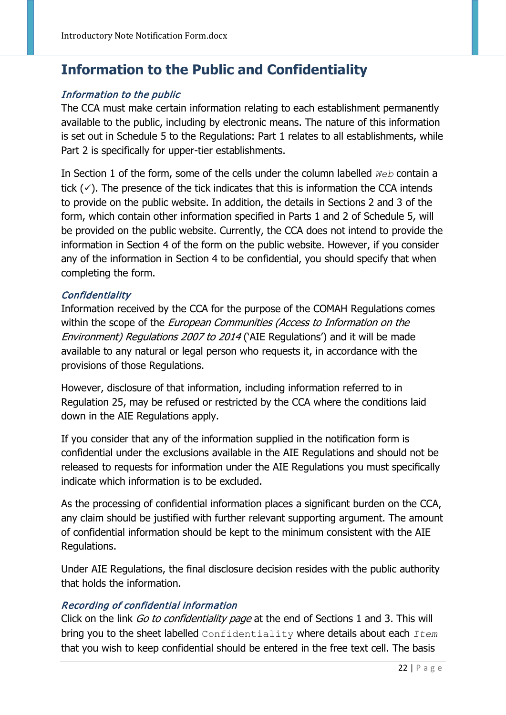## <span id="page-21-0"></span>**Information to the Public and Confidentiality**

#### Information to the public

The CCA must make certain information relating to each establishment permanently available to the public, including by electronic means. The nature of this information is set out in Schedule 5 to the Regulations: Part 1 relates to all establishments, while Part 2 is specifically for upper-tier establishments.

In Section 1 of the form, some of the cells under the column labelled *Web* contain a tick  $(\checkmark)$ . The presence of the tick indicates that this is information the CCA intends to provide on the public website. In addition, the details in Sections 2 and 3 of the form, which contain other information specified in Parts 1 and 2 of Schedule 5, will be provided on the public website. Currently, the CCA does not intend to provide the information in Section 4 of the form on the public website. However, if you consider any of the information in Section 4 to be confidential, you should specify that when completing the form.

#### **Confidentiality**

Information received by the CCA for the purpose of the COMAH Regulations comes within the scope of the *European Communities (Access to Information on the* Environment) Regulations 2007 to 2014 ('AIE Regulations') and it will be made available to any natural or legal person who requests it, in accordance with the provisions of those Regulations.

However, disclosure of that information, including information referred to in Regulation 25, may be refused or restricted by the CCA where the conditions laid down in the AIE Regulations apply.

If you consider that any of the information supplied in the notification form is confidential under the exclusions available in the AIE Regulations and should not be released to requests for information under the AIE Regulations you must specifically indicate which information is to be excluded.

As the processing of confidential information places a significant burden on the CCA, any claim should be justified with further relevant supporting argument. The amount of confidential information should be kept to the minimum consistent with the AIE Regulations.

Under AIE Regulations, the final disclosure decision resides with the public authority that holds the information.

#### Recording of confidential information

Click on the link Go to confidentiality page at the end of Sections 1 and 3. This will bring you to the sheet labelled Confidentiality where details about each *Item* that you wish to keep confidential should be entered in the free text cell. The basis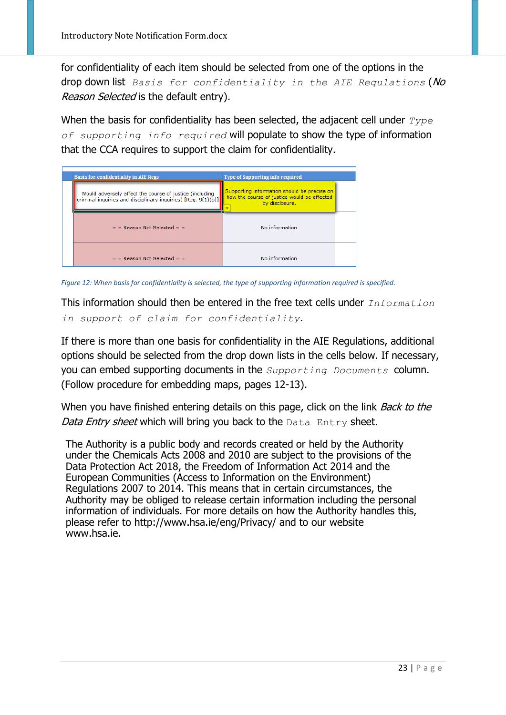for confidentiality of each item should be selected from one of the options in the drop down list *Basis for confidentiality in the AIE Regulations* (No Reason Selected is the default entry).

When the basis for confidentiality has been selected, the adjacent cell under *Type of supporting info required* will populate to show the type of information that the CCA requires to support the claim for confidentiality.

| <b>Basis for confidentiality in AIE Regs</b>                                                                                         | Type of Supporting info required                                                                             |  |
|--------------------------------------------------------------------------------------------------------------------------------------|--------------------------------------------------------------------------------------------------------------|--|
| Would adversely affect the course of justice (including<br>criminal inquiries and disciplinary inquiries) [Reg. 9(1)(b)] $\parallel$ | Supporting information should be precise on<br>how the course of justice would be affected<br>by disclosure. |  |
| $=$ = Reason Not Selected = $=$                                                                                                      | No information                                                                                               |  |
| $=$ = Reason Not Selected = $=$                                                                                                      | No information                                                                                               |  |

*Figure 12: When basis for confidentiality is selected, the type of supporting information required is specified.*

This information should then be entered in the free text cells under *Information in support of claim for confidentiality*.

If there is more than one basis for confidentiality in the AIE Regulations, additional options should be selected from the drop down lists in the cells below. If necessary, you can embed supporting documents in the *Supporting Documents* column. (Follow procedure for embedding maps, pages 12-13).

When you have finished entering details on this page, click on the link *Back to the* Data Entry sheet which will bring you back to the Data Entry sheet.

The Authority is a public body and records created or held by the Authority under the Chemicals Acts 2008 and 2010 are subject to the provisions of the Data Protection Act 2018, the Freedom of Information Act 2014 and the European Communities (Access to Information on the Environment) Regulations 2007 to 2014. This means that in certain circumstances, the Authority may be obliged to release certain information including the personal information of individuals. For more details on how the Authority handles this, please refer to http://www.hsa.ie/eng/Privacy/ and to our website www.hsa.ie.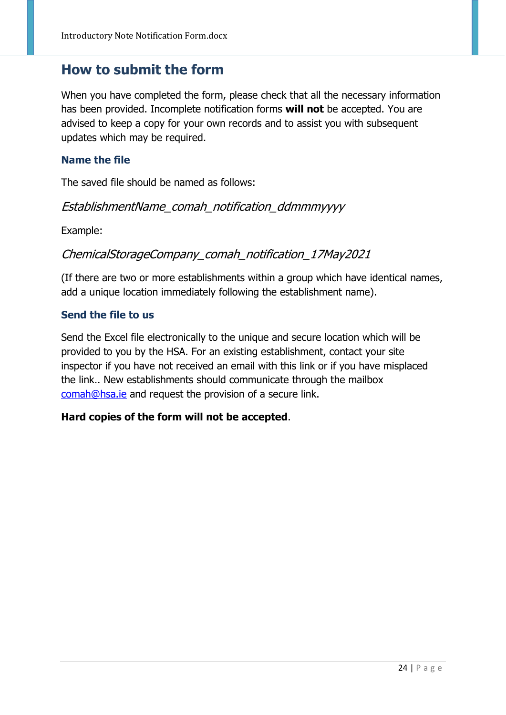### <span id="page-23-0"></span>**How to submit the form**

When you have completed the form, please check that all the necessary information has been provided. Incomplete notification forms **will not** be accepted. You are advised to keep a copy for your own records and to assist you with subsequent updates which may be required.

#### <span id="page-23-1"></span>**Name the file**

The saved file should be named as follows:

#### EstablishmentName\_comah\_notification\_ddmmmyyyy

Example:

### ChemicalStorageCompany\_comah\_notification\_17May2021

(If there are two or more establishments within a group which have identical names, add a unique location immediately following the establishment name).

#### <span id="page-23-2"></span>**Send the file to us**

Send the Excel file electronically to the unique and secure location which will be provided to you by the HSA. For an existing establishment, contact your site inspector if you have not received an email with this link or if you have misplaced the link.. New establishments should communicate through the mailbox [comah@hsa.ie](mailto:comah@hsa.ie) and request the provision of a secure link.

#### **Hard copies of the form will not be accepted**.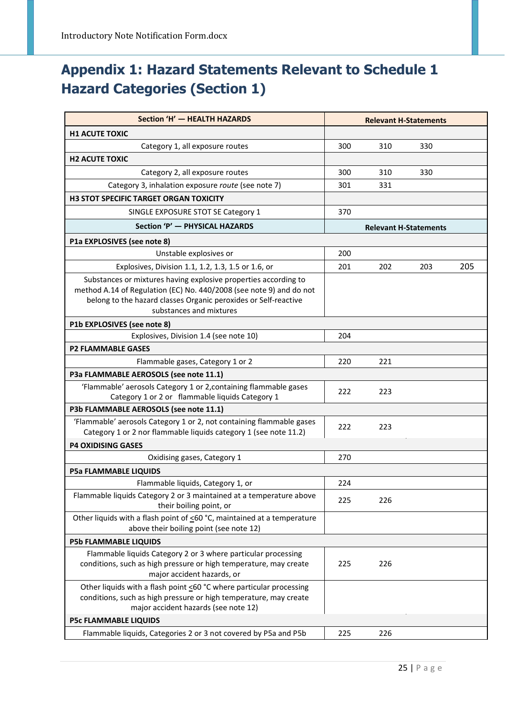## <span id="page-24-0"></span>**Appendix 1: Hazard Statements Relevant to Schedule 1 Hazard Categories (Section 1)**

| Section 'H' - HEALTH HAZARDS                                                                                                             |     |     | <b>Relevant H-Statements</b> |     |
|------------------------------------------------------------------------------------------------------------------------------------------|-----|-----|------------------------------|-----|
| <b>H1 ACUTE TOXIC</b>                                                                                                                    |     |     |                              |     |
| Category 1, all exposure routes                                                                                                          | 300 | 310 | 330                          |     |
| <b>H2 ACUTE TOXIC</b>                                                                                                                    |     |     |                              |     |
| Category 2, all exposure routes                                                                                                          | 300 | 310 | 330                          |     |
| Category 3, inhalation exposure route (see note 7)                                                                                       | 301 | 331 |                              |     |
| H3 STOT SPECIFIC TARGET ORGAN TOXICITY                                                                                                   |     |     |                              |     |
| SINGLE EXPOSURE STOT SE Category 1                                                                                                       | 370 |     |                              |     |
| Section 'P' - PHYSICAL HAZARDS                                                                                                           |     |     | <b>Relevant H-Statements</b> |     |
| P1a EXPLOSIVES (see note 8)                                                                                                              |     |     |                              |     |
| Unstable explosives or                                                                                                                   | 200 |     |                              |     |
| Explosives, Division 1.1, 1.2, 1.3, 1.5 or 1.6, or                                                                                       | 201 | 202 | 203                          | 205 |
| Substances or mixtures having explosive properties according to                                                                          |     |     |                              |     |
| method A.14 of Regulation (EC) No. 440/2008 (see note 9) and do not                                                                      |     |     |                              |     |
| belong to the hazard classes Organic peroxides or Self-reactive                                                                          |     |     |                              |     |
| substances and mixtures                                                                                                                  |     |     |                              |     |
| P1b EXPLOSIVES (see note 8)<br>Explosives, Division 1.4 (see note 10)                                                                    | 204 |     |                              |     |
| <b>P2 FLAMMABLE GASES</b>                                                                                                                |     |     |                              |     |
| Flammable gases, Category 1 or 2                                                                                                         | 220 | 221 |                              |     |
| P3a FLAMMABLE AEROSOLS (see note 11.1)                                                                                                   |     |     |                              |     |
| 'Flammable' aerosols Category 1 or 2, containing flammable gases                                                                         |     |     |                              |     |
| Category 1 or 2 or flammable liquids Category 1                                                                                          | 222 | 223 |                              |     |
| P3b FLAMMABLE AEROSOLS (see note 11.1)                                                                                                   |     |     |                              |     |
| 'Flammable' aerosols Category 1 or 2, not containing flammable gases                                                                     | 222 | 223 |                              |     |
| Category 1 or 2 nor flammable liquids category 1 (see note 11.2)                                                                         |     |     |                              |     |
| <b>P4 OXIDISING GASES</b>                                                                                                                |     |     |                              |     |
| Oxidising gases, Category 1                                                                                                              | 270 |     |                              |     |
| <b>P5a FLAMMABLE LIQUIDS</b>                                                                                                             |     |     |                              |     |
| Flammable liquids, Category 1, or                                                                                                        | 224 |     |                              |     |
| Flammable liquids Category 2 or 3 maintained at a temperature above<br>their boiling point, or                                           | 225 | 226 |                              |     |
| Other liquids with a flash point of $\leq 60$ °C, maintained at a temperature<br>above their boiling point (see note 12)                 |     |     |                              |     |
| <b>P5b FLAMMABLE LIQUIDS</b>                                                                                                             |     |     |                              |     |
| Flammable liquids Category 2 or 3 where particular processing                                                                            |     |     |                              |     |
| conditions, such as high pressure or high temperature, may create                                                                        | 225 | 226 |                              |     |
| major accident hazards, or                                                                                                               |     |     |                              |     |
| Other liquids with a flash point <60 °C where particular processing<br>conditions, such as high pressure or high temperature, may create |     |     |                              |     |
| major accident hazards (see note 12)                                                                                                     |     |     |                              |     |
| <b>P5c FLAMMABLE LIQUIDS</b>                                                                                                             |     |     |                              |     |
| Flammable liquids, Categories 2 or 3 not covered by P5a and P5b                                                                          | 225 | 226 |                              |     |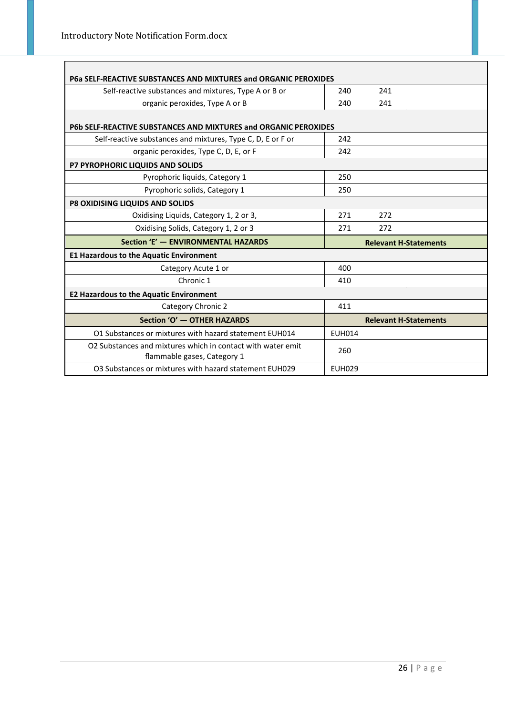| P6a SELF-REACTIVE SUBSTANCES AND MIXTURES and ORGANIC PEROXIDES                            |                              |  |  |  |
|--------------------------------------------------------------------------------------------|------------------------------|--|--|--|
| Self-reactive substances and mixtures, Type A or B or                                      | 240<br>241                   |  |  |  |
| organic peroxides, Type A or B                                                             | 240<br>241                   |  |  |  |
|                                                                                            |                              |  |  |  |
| P6b SELF-REACTIVE SUBSTANCES AND MIXTURES and ORGANIC PEROXIDES                            |                              |  |  |  |
| Self-reactive substances and mixtures, Type C, D, E or F or                                | 242                          |  |  |  |
| organic peroxides, Type C, D, E, or F                                                      | 242                          |  |  |  |
| P7 PYROPHORIC LIQUIDS AND SOLIDS                                                           |                              |  |  |  |
| Pyrophoric liquids, Category 1                                                             | 250                          |  |  |  |
| Pyrophoric solids, Category 1                                                              | 250                          |  |  |  |
| P8 OXIDISING LIQUIDS AND SOLIDS                                                            |                              |  |  |  |
| Oxidising Liquids, Category 1, 2 or 3,                                                     | 271<br>272                   |  |  |  |
| Oxidising Solids, Category 1, 2 or 3                                                       | 271<br>272                   |  |  |  |
| Section 'E' - ENVIRONMENTAL HAZARDS                                                        | <b>Relevant H-Statements</b> |  |  |  |
| <b>E1 Hazardous to the Aquatic Environment</b>                                             |                              |  |  |  |
| Category Acute 1 or                                                                        | 400                          |  |  |  |
| Chronic 1                                                                                  | 410                          |  |  |  |
| <b>E2 Hazardous to the Aquatic Environment</b>                                             |                              |  |  |  |
| Category Chronic 2                                                                         | 411                          |  |  |  |
| Section 'O' - OTHER HAZARDS                                                                | <b>Relevant H-Statements</b> |  |  |  |
| O1 Substances or mixtures with hazard statement EUH014                                     | <b>EUH014</b>                |  |  |  |
| O2 Substances and mixtures which in contact with water emit<br>flammable gases, Category 1 | 260                          |  |  |  |
| O3 Substances or mixtures with hazard statement EUH029                                     | <b>EUH029</b>                |  |  |  |

 $\overline{\phantom{0}}$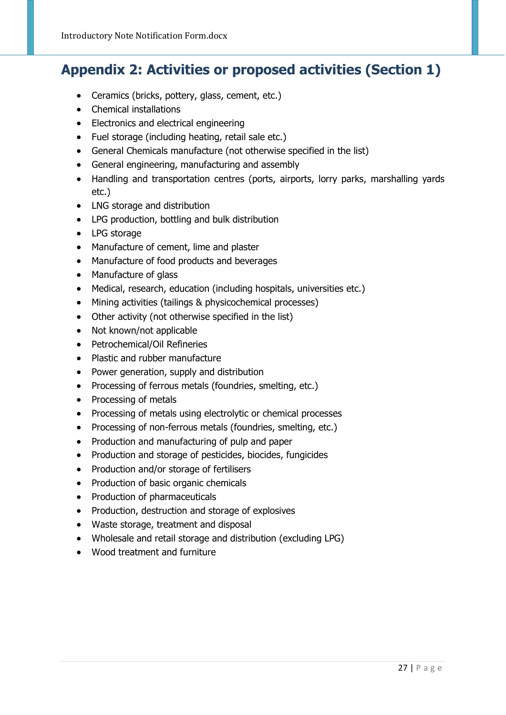## <span id="page-26-0"></span>**Appendix 2: Activities or proposed activities (Section 1)**

- Ceramics (bricks, pottery, glass, cement, etc.)
- Chemical installations
- Electronics and electrical engineering
- Fuel storage (including heating, retail sale etc.)
- General Chemicals manufacture (not otherwise specified in the list)
- General engineering, manufacturing and assembly
- Handling and transportation centres (ports, airports, lorry parks, marshalling yards etc.)
- LNG storage and distribution
- LPG production, bottling and bulk distribution
- LPG storage
- Manufacture of cement, lime and plaster
- Manufacture of food products and beverages
- Manufacture of glass
- Medical, research, education (including hospitals, universities etc.)
- Mining activities (tailings & physicochemical processes)
- Other activity (not otherwise specified in the list)
- Not known/not applicable
- Petrochemical/Oil Refineries
- Plastic and rubber manufacture
- Power generation, supply and distribution
- Processing of ferrous metals (foundries, smelting, etc.)
- Processing of metals
- Processing of metals using electrolytic or chemical processes
- Processing of non-ferrous metals (foundries, smelting, etc.)
- Production and manufacturing of pulp and paper
- Production and storage of pesticides, biocides, fungicides
- Production and/or storage of fertilisers
- Production of basic organic chemicals
- Production of pharmaceuticals
- Production, destruction and storage of explosives
- Waste storage, treatment and disposal
- Wholesale and retail storage and distribution (excluding LPG)
- Wood treatment and furniture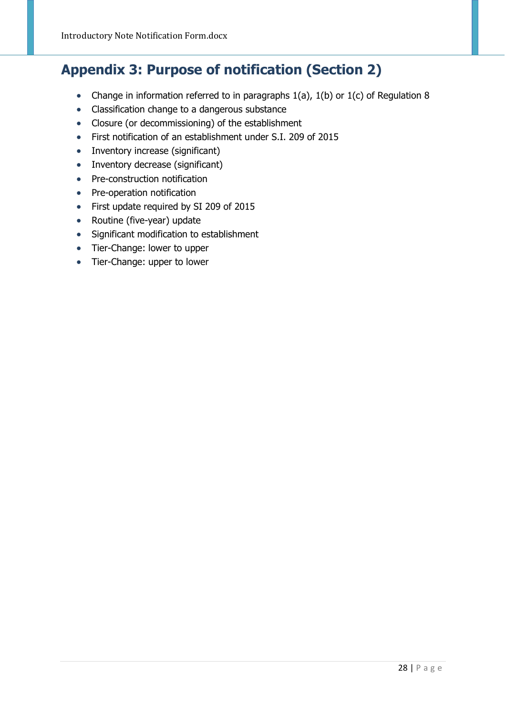## <span id="page-27-0"></span>**Appendix 3: Purpose of notification (Section 2)**

- Change in information referred to in paragraphs 1(a), 1(b) or 1(c) of Regulation 8
- Classification change to a dangerous substance
- Closure (or decommissioning) of the establishment
- First notification of an establishment under S.I. 209 of 2015
- Inventory increase (significant)
- Inventory decrease (significant)
- Pre-construction notification
- Pre-operation notification
- First update required by SI 209 of 2015
- Routine (five-year) update
- Significant modification to establishment
- Tier-Change: lower to upper
- Tier-Change: upper to lower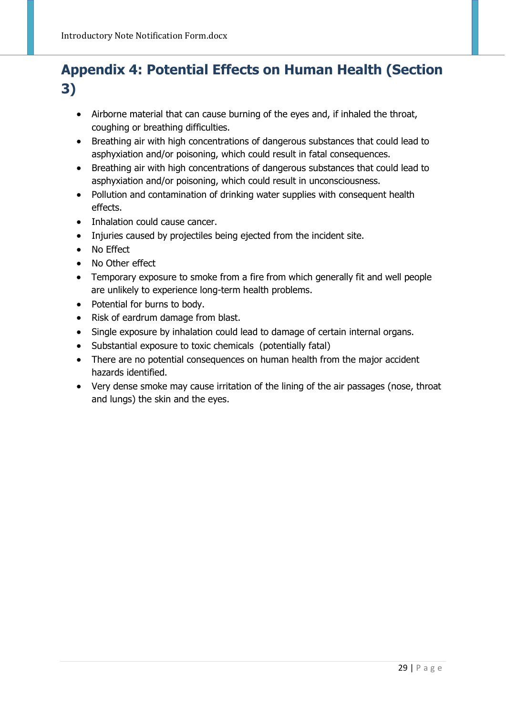## <span id="page-28-0"></span>**Appendix 4: Potential Effects on Human Health (Section 3)**

- Airborne material that can cause burning of the eyes and, if inhaled the throat, coughing or breathing difficulties.
- Breathing air with high concentrations of dangerous substances that could lead to asphyxiation and/or poisoning, which could result in fatal consequences.
- Breathing air with high concentrations of dangerous substances that could lead to asphyxiation and/or poisoning, which could result in unconsciousness.
- Pollution and contamination of drinking water supplies with consequent health effects.
- Inhalation could cause cancer.
- Injuries caused by projectiles being ejected from the incident site.
- No Effect
- No Other effect
- Temporary exposure to smoke from a fire from which generally fit and well people are unlikely to experience long-term health problems.
- Potential for burns to body.
- Risk of eardrum damage from blast.
- Single exposure by inhalation could lead to damage of certain internal organs.
- Substantial exposure to toxic chemicals (potentially fatal)
- There are no potential consequences on human health from the major accident hazards identified.
- Very dense smoke may cause irritation of the lining of the air passages (nose, throat and lungs) the skin and the eyes.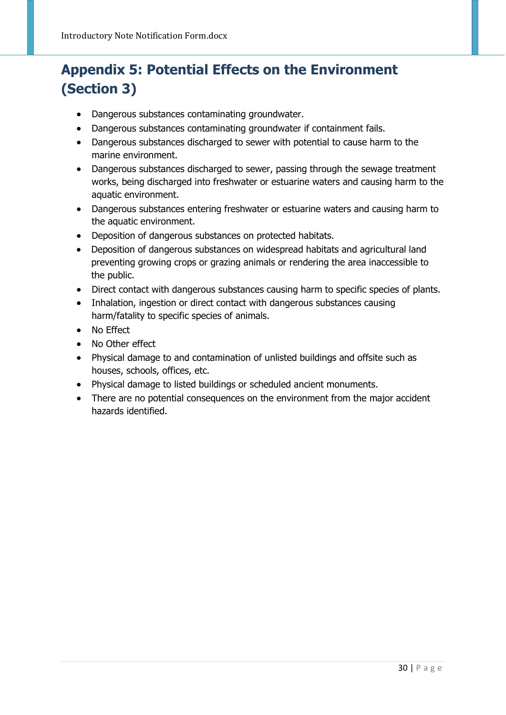## <span id="page-29-0"></span>**Appendix 5: Potential Effects on the Environment (Section 3)**

- Dangerous substances contaminating groundwater.
- Dangerous substances contaminating groundwater if containment fails.
- Dangerous substances discharged to sewer with potential to cause harm to the marine environment.
- Dangerous substances discharged to sewer, passing through the sewage treatment works, being discharged into freshwater or estuarine waters and causing harm to the aquatic environment.
- Dangerous substances entering freshwater or estuarine waters and causing harm to the aquatic environment.
- Deposition of dangerous substances on protected habitats.
- Deposition of dangerous substances on widespread habitats and agricultural land preventing growing crops or grazing animals or rendering the area inaccessible to the public.
- Direct contact with dangerous substances causing harm to specific species of plants.
- Inhalation, ingestion or direct contact with dangerous substances causing harm/fatality to specific species of animals.
- No Effect
- No Other effect
- Physical damage to and contamination of unlisted buildings and offsite such as houses, schools, offices, etc.
- Physical damage to listed buildings or scheduled ancient monuments.
- There are no potential consequences on the environment from the major accident hazards identified.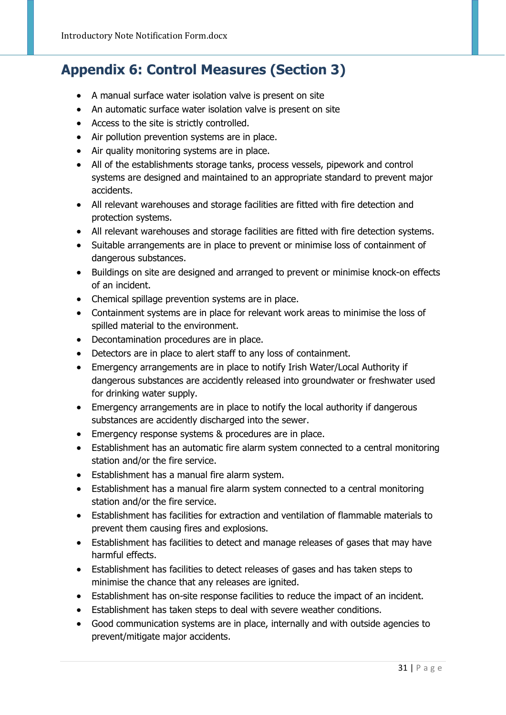## <span id="page-30-0"></span>**Appendix 6: Control Measures (Section 3)**

- A manual surface water isolation valve is present on site
- An automatic surface water isolation valve is present on site
- Access to the site is strictly controlled.
- Air pollution prevention systems are in place.
- Air quality monitoring systems are in place.
- All of the establishments storage tanks, process vessels, pipework and control systems are designed and maintained to an appropriate standard to prevent major accidents.
- All relevant warehouses and storage facilities are fitted with fire detection and protection systems.
- All relevant warehouses and storage facilities are fitted with fire detection systems.
- Suitable arrangements are in place to prevent or minimise loss of containment of dangerous substances.
- Buildings on site are designed and arranged to prevent or minimise knock-on effects of an incident.
- Chemical spillage prevention systems are in place.
- Containment systems are in place for relevant work areas to minimise the loss of spilled material to the environment.
- Decontamination procedures are in place.
- Detectors are in place to alert staff to any loss of containment.
- Emergency arrangements are in place to notify Irish Water/Local Authority if dangerous substances are accidently released into groundwater or freshwater used for drinking water supply.
- Emergency arrangements are in place to notify the local authority if dangerous substances are accidently discharged into the sewer.
- Emergency response systems & procedures are in place.
- Establishment has an automatic fire alarm system connected to a central monitoring station and/or the fire service.
- Establishment has a manual fire alarm system.
- Establishment has a manual fire alarm system connected to a central monitoring station and/or the fire service.
- Establishment has facilities for extraction and ventilation of flammable materials to prevent them causing fires and explosions.
- Establishment has facilities to detect and manage releases of gases that may have harmful effects.
- Establishment has facilities to detect releases of gases and has taken steps to minimise the chance that any releases are ignited.
- Establishment has on-site response facilities to reduce the impact of an incident.
- Establishment has taken steps to deal with severe weather conditions.
- Good communication systems are in place, internally and with outside agencies to prevent/mitigate major accidents.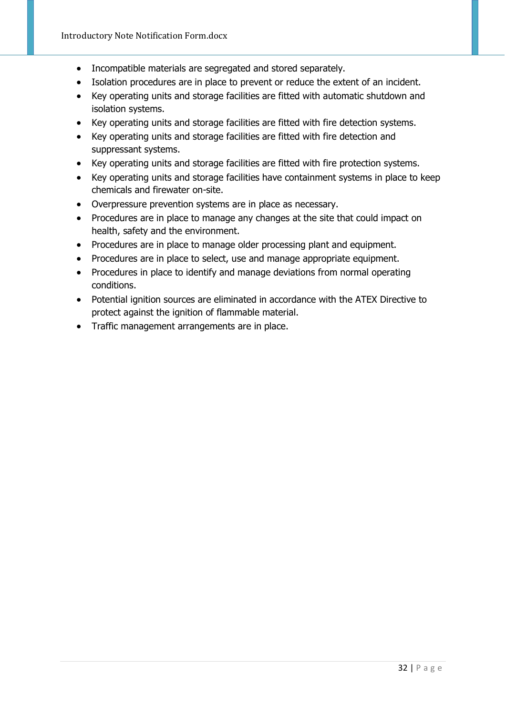- Incompatible materials are segregated and stored separately.
- Isolation procedures are in place to prevent or reduce the extent of an incident.
- Key operating units and storage facilities are fitted with automatic shutdown and isolation systems.
- Key operating units and storage facilities are fitted with fire detection systems.
- Key operating units and storage facilities are fitted with fire detection and suppressant systems.
- Key operating units and storage facilities are fitted with fire protection systems.
- Key operating units and storage facilities have containment systems in place to keep chemicals and firewater on-site.
- Overpressure prevention systems are in place as necessary.
- Procedures are in place to manage any changes at the site that could impact on health, safety and the environment.
- Procedures are in place to manage older processing plant and equipment.
- Procedures are in place to select, use and manage appropriate equipment.
- Procedures in place to identify and manage deviations from normal operating conditions.
- Potential ignition sources are eliminated in accordance with the ATEX Directive to protect against the ignition of flammable material.
- Traffic management arrangements are in place.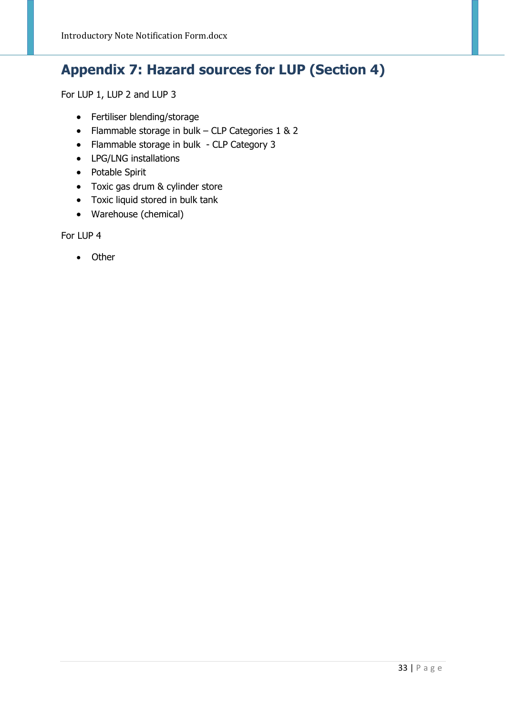## <span id="page-32-0"></span>**Appendix 7: Hazard sources for LUP (Section 4)**

For LUP 1, LUP 2 and LUP 3

- Fertiliser blending/storage
- Flammable storage in bulk CLP Categories 1 & 2
- Flammable storage in bulk CLP Category 3
- LPG/LNG installations
- Potable Spirit
- Toxic gas drum & cylinder store
- Toxic liquid stored in bulk tank
- Warehouse (chemical)

For LUP 4

• Other